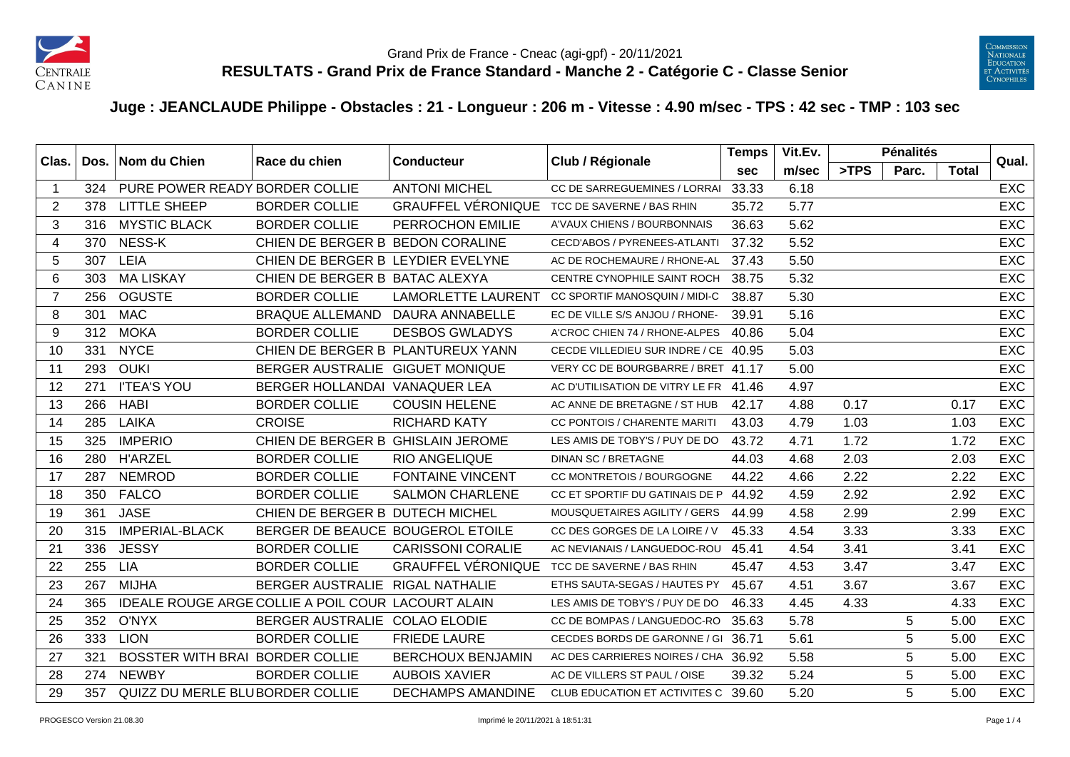



## **Juge : JEANCLAUDE Philippe - Obstacles : 21 - Longueur : 206 m - Vitesse : 4.90 m/sec - TPS : 42 sec - TMP : 103 sec**

| Clas.                   | Dos. | Nom du Chien                    | Race du chien<br><b>Conducteur</b>                        |                           | Club / Régionale                      | <b>Temps</b> | Vit.Ev. |      | <b>Pénalités</b> |       | Qual.      |
|-------------------------|------|---------------------------------|-----------------------------------------------------------|---------------------------|---------------------------------------|--------------|---------|------|------------------|-------|------------|
|                         |      |                                 |                                                           |                           |                                       | sec          | m/sec   | >TPS | Parc.            | Total |            |
| $\overline{\mathbf{1}}$ | 324  | PURE POWER READY BORDER COLLIE  |                                                           | <b>ANTONI MICHEL</b>      | CC DE SARREGUEMINES / LORRAI          | 33.33        | 6.18    |      |                  |       | <b>EXC</b> |
| 2                       | 378  | <b>LITTLE SHEEP</b>             | <b>BORDER COLLIE</b>                                      | <b>GRAUFFEL VÉRONIQUE</b> | TCC DE SAVERNE / BAS RHIN             | 35.72        | 5.77    |      |                  |       | <b>EXC</b> |
| 3                       | 316  | <b>MYSTIC BLACK</b>             | <b>BORDER COLLIE</b>                                      | PERROCHON EMILIE          | A'VAUX CHIENS / BOURBONNAIS           | 36.63        | 5.62    |      |                  |       | <b>EXC</b> |
| $\overline{4}$          | 370  | NESS-K                          | CHIEN DE BERGER B BEDON CORALINE                          |                           | CECD'ABOS / PYRENEES-ATLANTI          | 37.32        | 5.52    |      |                  |       | <b>EXC</b> |
| 5                       | 307  | LEIA                            | CHIEN DE BERGER B LEYDIER EVELYNE                         |                           | AC DE ROCHEMAURE / RHONE-AL           | 37.43        | 5.50    |      |                  |       | <b>EXC</b> |
| 6                       | 303  | <b>MA LISKAY</b>                | CHIEN DE BERGER B BATAC ALEXYA                            |                           | CENTRE CYNOPHILE SAINT ROCH           | 38.75        | 5.32    |      |                  |       | <b>EXC</b> |
| $\overline{7}$          | 256  | <b>OGUSTE</b>                   | <b>BORDER COLLIE</b>                                      | <b>LAMORLETTE LAURENT</b> | CC SPORTIF MANOSQUIN / MIDI-C         | 38.87        | 5.30    |      |                  |       | <b>EXC</b> |
| 8                       | 301  | <b>MAC</b>                      | <b>BRAQUE ALLEMAND</b>                                    | <b>DAURA ANNABELLE</b>    | EC DE VILLE S/S ANJOU / RHONE-        | 39.91        | 5.16    |      |                  |       | <b>EXC</b> |
| 9                       | 312  | <b>MOKA</b>                     | <b>BORDER COLLIE</b>                                      | <b>DESBOS GWLADYS</b>     | A'CROC CHIEN 74 / RHONE-ALPES         | 40.86        | 5.04    |      |                  |       | <b>EXC</b> |
| 10                      | 331  | <b>NYCE</b>                     | CHIEN DE BERGER B PLANTUREUX YANN                         |                           | CECDE VILLEDIEU SUR INDRE / CE 40.95  |              | 5.03    |      |                  |       | <b>EXC</b> |
| 11                      | 293  | <b>OUKI</b>                     | BERGER AUSTRALIE GIGUET MONIQUE                           |                           | VERY CC DE BOURGBARRE / BRET 41.17    |              | 5.00    |      |                  |       | <b>EXC</b> |
| 12                      | 271  | <b>I'TEA'S YOU</b>              | BERGER HOLLANDAI VANAQUER LEA                             |                           | AC D'UTILISATION DE VITRY LE FR 41.46 |              | 4.97    |      |                  |       | <b>EXC</b> |
| 13                      | 266  | <b>HABI</b>                     | <b>BORDER COLLIE</b>                                      | <b>COUSIN HELENE</b>      | AC ANNE DE BRETAGNE / ST HUB          | 42.17        | 4.88    | 0.17 |                  | 0.17  | <b>EXC</b> |
| 14                      | 285  | <b>LAIKA</b>                    | <b>CROISE</b>                                             | <b>RICHARD KATY</b>       | CC PONTOIS / CHARENTE MARITI          | 43.03        | 4.79    | 1.03 |                  | 1.03  | <b>EXC</b> |
| 15                      | 325  | <b>IMPERIO</b>                  | CHIEN DE BERGER B GHISLAIN JEROME                         |                           | LES AMIS DE TOBY'S / PUY DE DO        | 43.72        | 4.71    | 1.72 |                  | 1.72  | <b>EXC</b> |
| 16                      | 280  | <b>H'ARZEL</b>                  | <b>BORDER COLLIE</b>                                      | <b>RIO ANGELIQUE</b>      | <b>DINAN SC / BRETAGNE</b>            | 44.03        | 4.68    | 2.03 |                  | 2.03  | <b>EXC</b> |
| 17                      | 287  | <b>NEMROD</b>                   | <b>BORDER COLLIE</b>                                      | <b>FONTAINE VINCENT</b>   | CC MONTRETOIS / BOURGOGNE             | 44.22        | 4.66    | 2.22 |                  | 2.22  | EXC        |
| 18                      | 350  | <b>FALCO</b>                    | <b>BORDER COLLIE</b>                                      | <b>SALMON CHARLENE</b>    | CC ET SPORTIF DU GATINAIS DE P        | 44.92        | 4.59    | 2.92 |                  | 2.92  | <b>EXC</b> |
| 19                      | 361  | <b>JASE</b>                     | CHIEN DE BERGER B DUTECH MICHEL                           |                           | MOUSQUETAIRES AGILITY / GERS          | 44.99        | 4.58    | 2.99 |                  | 2.99  | <b>EXC</b> |
| 20                      | 315  | <b>IMPERIAL-BLACK</b>           | BERGER DE BEAUCE BOUGEROL ETOILE                          |                           | CC DES GORGES DE LA LOIRE / V         | 45.33        | 4.54    | 3.33 |                  | 3.33  | <b>EXC</b> |
| 21                      | 336  | <b>JESSY</b>                    | <b>BORDER COLLIE</b>                                      | <b>CARISSONI CORALIE</b>  | AC NEVIANAIS / LANGUEDOC-ROU          | 45.41        | 4.54    | 3.41 |                  | 3.41  | <b>EXC</b> |
| 22                      | 255  | <b>LIA</b>                      | <b>BORDER COLLIE</b>                                      | <b>GRAUFFEL VÉRONIQUE</b> | TCC DE SAVERNE / BAS RHIN             | 45.47        | 4.53    | 3.47 |                  | 3.47  | <b>EXC</b> |
| 23                      | 267  | <b>MIJHA</b>                    | BERGER AUSTRALIE RIGAL NATHALIE                           |                           | ETHS SAUTA-SEGAS / HAUTES PY          | 45.67        | 4.51    | 3.67 |                  | 3.67  | <b>EXC</b> |
| 24                      | 365  |                                 | <b>IDEALE ROUGE ARGE COLLIE A POIL COUR LACOURT ALAIN</b> |                           | LES AMIS DE TOBY'S / PUY DE DO        | 46.33        | 4.45    | 4.33 |                  | 4.33  | <b>EXC</b> |
| 25                      | 352  | <b>O'NYX</b>                    | BERGER AUSTRALIE COLAO ELODIE                             |                           | CC DE BOMPAS / LANGUEDOC-RO           | 35.63        | 5.78    |      | 5                | 5.00  | <b>EXC</b> |
| 26                      | 333  | <b>LION</b>                     | <b>BORDER COLLIE</b>                                      | <b>FRIEDE LAURE</b>       | CECDES BORDS DE GARONNE / GI 36.71    |              | 5.61    |      | 5                | 5.00  | <b>EXC</b> |
| 27                      | 321  | BOSSTER WITH BRAI BORDER COLLIE |                                                           | <b>BERCHOUX BENJAMIN</b>  | AC DES CARRIERES NOIRES / CHA         | 36.92        | 5.58    |      | 5                | 5.00  | <b>EXC</b> |
| 28                      | 274  | <b>NEWBY</b>                    | <b>BORDER COLLIE</b>                                      | <b>AUBOIS XAVIER</b>      | AC DE VILLERS ST PAUL / OISE          | 39.32        | 5.24    |      | 5                | 5.00  | <b>EXC</b> |
| 29                      | 357  | QUIZZ DU MERLE BLUBORDER COLLIE |                                                           | <b>DECHAMPS AMANDINE</b>  | CLUB EDUCATION ET ACTIVITES C 39.60   |              | 5.20    |      | 5                | 5.00  | <b>EXC</b> |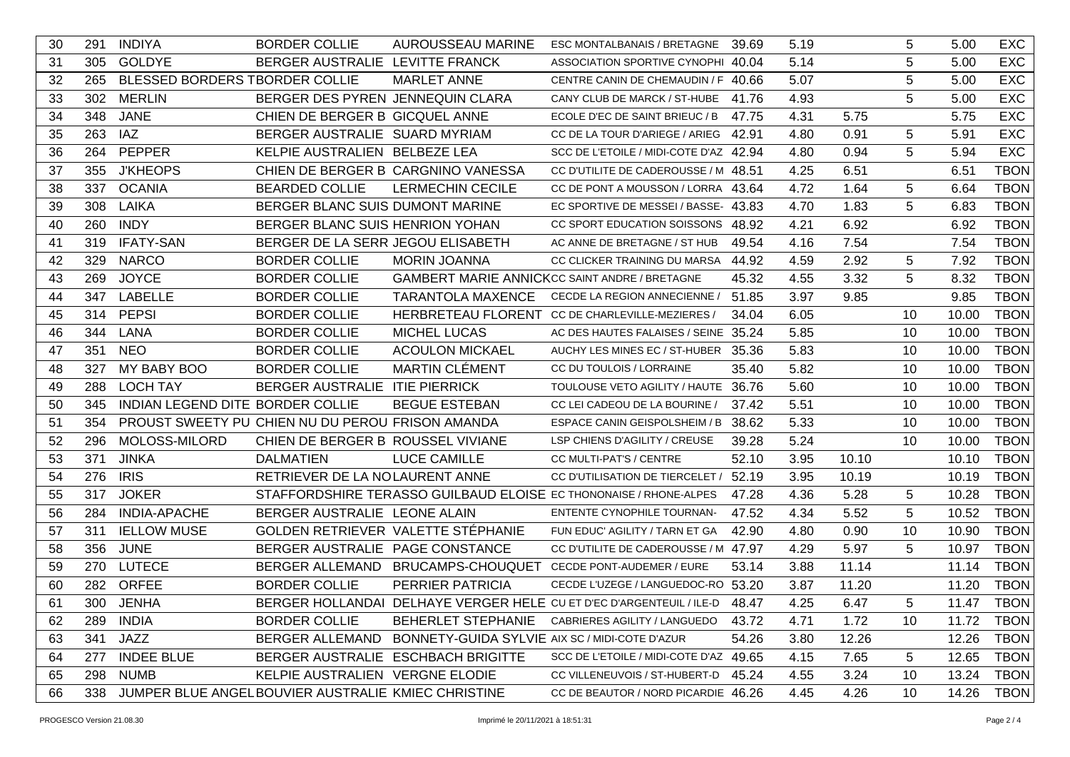| 30<br><b>INDIYA</b><br><b>BORDER COLLIE</b><br>AUROUSSEAU MARINE<br>5<br>291<br>ESC MONTALBANAIS / BRETAGNE<br>39.69<br>5.19<br>5.00<br>5<br>31<br>305<br><b>GOLDYE</b><br>BERGER AUSTRALIE LEVITTE FRANCK<br>5.14<br>5.00<br>ASSOCIATION SPORTIVE CYNOPHI 40.04 | <b>EXC</b><br><b>EXC</b><br><b>EXC</b> |
|------------------------------------------------------------------------------------------------------------------------------------------------------------------------------------------------------------------------------------------------------------------|----------------------------------------|
|                                                                                                                                                                                                                                                                  |                                        |
|                                                                                                                                                                                                                                                                  |                                        |
| 5<br>BLESSED BORDERS TBORDER COLLIE<br><b>MARLET ANNE</b><br>32<br>265<br>5.07<br>5.00<br>CENTRE CANIN DE CHEMAUDIN / F 40.66                                                                                                                                    |                                        |
| 5<br>33<br><b>MERLIN</b><br>BERGER DES PYREN JENNEQUIN CLARA<br>302<br>CANY CLUB DE MARCK / ST-HUBE 41.76<br>4.93<br>5.00                                                                                                                                        | <b>EXC</b>                             |
| 34<br>348<br><b>JANE</b><br>CHIEN DE BERGER B GICQUEL ANNE<br>ECOLE D'EC DE SAINT BRIEUC / B<br>4.31<br>5.75<br>5.75<br>47.75                                                                                                                                    | <b>EXC</b>                             |
| 263<br>IAZ<br>BERGER AUSTRALIE SUARD MYRIAM<br>35<br>CC DE LA TOUR D'ARIEGE / ARIEG 42.91<br>4.80<br>0.91<br>5<br>5.91                                                                                                                                           | <b>EXC</b>                             |
| PEPPER<br>5<br>36<br>264<br>KELPIE AUSTRALIEN BELBEZE LEA<br>4.80<br>0.94<br>5.94<br>SCC DE L'ETOILE / MIDI-COTE D'AZ 42.94                                                                                                                                      | <b>EXC</b>                             |
| 355<br><b>J'KHEOPS</b><br>CHIEN DE BERGER B CARGNINO VANESSA<br>37<br>CC D'UTILITE DE CADEROUSSE / M 48.51<br>4.25<br>6.51<br>6.51                                                                                                                               | <b>TBON</b>                            |
| <b>OCANIA</b><br><b>BEARDED COLLIE</b><br>38<br>337<br><b>LERMECHIN CECILE</b><br>CC DE PONT A MOUSSON / LORRA 43.64<br>4.72<br>1.64<br>5<br>6.64                                                                                                                | <b>TBON</b>                            |
| <b>LAIKA</b><br>BERGER BLANC SUIS DUMONT MARINE<br>5<br>39<br>308<br>EC SPORTIVE DE MESSEI / BASSE- 43.83<br>4.70<br>1.83<br>6.83                                                                                                                                | <b>TBON</b>                            |
| BERGER BLANC SUIS HENRION YOHAN<br><b>INDY</b><br>6.92<br>40<br>260<br>CC SPORT EDUCATION SOISSONS<br>48.92<br>4.21<br>6.92                                                                                                                                      | <b>TBON</b>                            |
| <b>IFATY-SAN</b><br>BERGER DE LA SERR JEGOU ELISABETH<br>49.54<br>7.54<br>7.54<br>319<br>4.16<br>41<br>AC ANNE DE BRETAGNE / ST HUB                                                                                                                              | <b>TBON</b>                            |
| <b>NARCO</b><br>42<br>329<br><b>BORDER COLLIE</b><br><b>MORIN JOANNA</b><br>7.92<br>CC CLICKER TRAINING DU MARSA<br>44.92<br>4.59<br>2.92<br>5                                                                                                                   | <b>TBON</b>                            |
| <b>JOYCE</b><br>5<br><b>BORDER COLLIE</b><br><b>GAMBERT MARIE ANNICKCC SAINT ANDRE / BRETAGNE</b><br>3.32<br>8.32<br>43<br>269<br>45.32<br>4.55                                                                                                                  | <b>TBON</b>                            |
| <b>LABELLE</b><br><b>BORDER COLLIE</b><br>3.97<br>347<br><b>TARANTOLA MAXENCE</b><br><b>CECDE LA REGION ANNECIENNE</b><br>51.85<br>9.85<br>9.85<br>44                                                                                                            | <b>TBON</b>                            |
| <b>PEPSI</b><br><b>BORDER COLLIE</b><br>HERBRETEAU FLORENT CC DE CHARLEVILLE-MEZIERES /<br>314<br>6.05<br>45<br>34.04<br>10<br>10.00                                                                                                                             | <b>TBON</b>                            |
| 344<br><b>BORDER COLLIE</b><br><b>MICHEL LUCAS</b><br>46<br>LANA<br>AC DES HAUTES FALAISES / SEINE 35.24<br>5.85<br>10<br>10.00                                                                                                                                  | <b>TBON</b>                            |
| <b>NEO</b><br><b>ACOULON MICKAEL</b><br>47<br>351<br><b>BORDER COLLIE</b><br>AUCHY LES MINES EC / ST-HUBER 35.36<br>5.83<br>10<br>10.00                                                                                                                          | <b>TBON</b>                            |
| MY BABY BOO<br><b>MARTIN CLÉMENT</b><br>327<br><b>BORDER COLLIE</b><br>5.82<br>48<br>CC DU TOULOIS / LORRAINE<br>35.40<br>10<br>10.00                                                                                                                            | <b>TBON</b>                            |
| <b>LOCH TAY</b><br>BERGER AUSTRALIE ITIE PIERRICK<br>49<br>288<br>TOULOUSE VETO AGILITY / HAUTE 36.76<br>5.60<br>10<br>10.00                                                                                                                                     | <b>TBON</b>                            |
| INDIAN LEGEND DITE BORDER COLLIE<br>50<br>345<br><b>BEGUE ESTEBAN</b><br>CC LEI CADEOU DE LA BOURINE /<br>5.51<br>10.00<br>37.42<br>10                                                                                                                           | <b>TBON</b>                            |
| PROUST SWEETY PU CHIEN NU DU PEROU FRISON AMANDA<br>5.33<br>51<br>354<br>ESPACE CANIN GEISPOLSHEIM / B<br>38.62<br>10<br>10.00                                                                                                                                   | <b>TBON</b>                            |
| MOLOSS-MILORD<br>CHIEN DE BERGER B ROUSSEL VIVIANE<br>5.24<br>52<br>296<br>39.28<br>10<br>10.00<br>LSP CHIENS D'AGILITY / CREUSE                                                                                                                                 | <b>TBON</b>                            |
| 371<br><b>JINKA</b><br><b>DALMATIEN</b><br><b>LUCE CAMILLE</b><br>52.10<br>10.10<br>53<br>CC MULTI-PAT'S / CENTRE<br>3.95<br>10.10                                                                                                                               | <b>TBON</b>                            |
| <b>IRIS</b><br>RETRIEVER DE LA NOLAURENT ANNE<br>CC D'UTILISATION DE TIERCELET / 52.19<br>3.95<br>54<br>276<br>10.19<br>10.19                                                                                                                                    | <b>TBON</b>                            |
| <b>JOKER</b><br>STAFFORDSHIRE TERASSO GUILBAUD ELOISE EC THONONAISE / RHONE-ALPES<br>5.28<br>55<br>317<br>47.28<br>4.36<br>10.28<br>5                                                                                                                            | <b>TBON</b>                            |
| BERGER AUSTRALIE LEONE ALAIN<br>5<br>56<br>284<br><b>INDIA-APACHE</b><br>4.34<br>5.52<br>10.52<br>ENTENTE CYNOPHILE TOURNAN-<br>47.52                                                                                                                            | <b>TBON</b>                            |
| <b>IELLOW MUSE</b><br>GOLDEN RETRIEVER VALETTE STÉPHANIE<br>311<br>42.90<br>4.80<br>0.90<br>10<br>10.90<br>57<br>FUN EDUC' AGILITY / TARN ET GA                                                                                                                  | <b>TBON</b>                            |
| <b>JUNE</b><br>BERGER AUSTRALIE PAGE CONSTANCE<br>5.97<br>5<br>58<br>356<br>CC D'UTILITE DE CADEROUSSE / M 47.97<br>4.29<br>10.97                                                                                                                                | <b>TBON</b>                            |
| <b>LUTECE</b><br>BERGER ALLEMAND BRUCAMPS-CHOUQUET<br>11.14<br>59<br>270<br>CECDE PONT-AUDEMER / EURE<br>53.14<br>3.88<br>11.14                                                                                                                                  | <b>TBON</b>                            |
| <b>ORFEE</b><br>282<br><b>BORDER COLLIE</b><br>PERRIER PATRICIA<br>CECDE L'UZEGE / LANGUEDOC-RO 53.20<br>3.87<br>11.20<br>11.20<br>60                                                                                                                            | <b>TBON</b>                            |
| 11.47 TBON<br>300 JENHA<br>BERGER HOLLANDAI DELHAYE VERGER HELE CU ET D'EC D'ARGENTEUIL / ILE-D 48.47<br>4.25<br>6.47<br>5<br>61                                                                                                                                 |                                        |
| 62<br><b>INDIA</b><br><b>BORDER COLLIE</b><br>BEHERLET STEPHANIE CABRIERES AGILITY / LANGUEDO<br>1.72<br>10<br>11.72<br>289<br>43.72<br>4.71                                                                                                                     | <b>TBON</b>                            |
| JAZZ<br>341<br>BERGER ALLEMAND BONNETY-GUIDA SYLVIE AIX SC / MIDI-COTE D'AZUR<br>54.26<br>12.26<br>12.26<br>63<br>3.80                                                                                                                                           | <b>TBON</b>                            |
| <b>INDEE BLUE</b><br>277<br>64<br>BERGER AUSTRALIE ESCHBACH BRIGITTE<br>SCC DE L'ETOILE / MIDI-COTE D'AZ 49.65<br>4.15<br>7.65<br>5<br>12.65                                                                                                                     | <b>TBON</b>                            |
| <b>NUMB</b><br>65<br>298<br>KELPIE AUSTRALIEN VERGNE ELODIE<br>CC VILLENEUVOIS / ST-HUBERT-D 45.24<br>3.24<br>13.24<br>4.55<br>10                                                                                                                                | <b>TBON</b>                            |
| 14.26<br>66<br>338<br>JUMPER BLUE ANGELBOUVIER AUSTRALIE KMIEC CHRISTINE<br>CC DE BEAUTOR / NORD PICARDIE 46.26<br>4.45<br>4.26<br>10                                                                                                                            | <b>TBON</b>                            |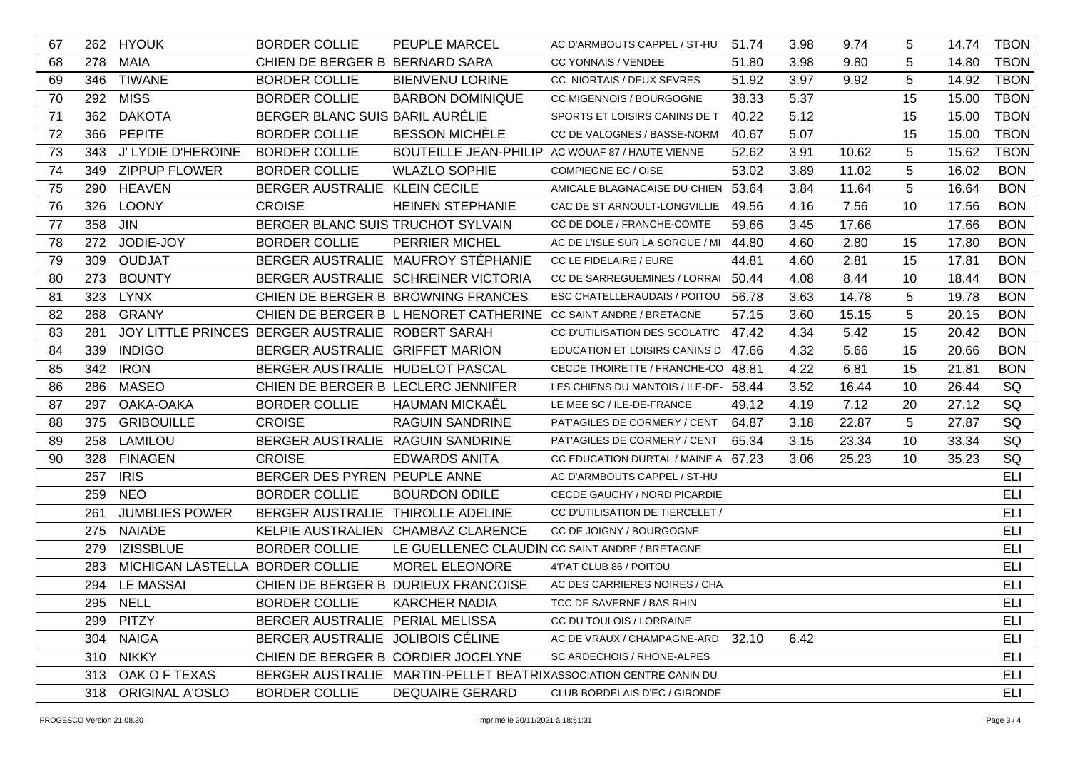| 67 |     | 262 HYOUK                       | <b>BORDER COLLIE</b>                             | <b>PEUPLE MARCEL</b>                                            | AC D'ARMBOUTS CAPPEL / ST-HU                                      | 51.74 | 3.98 | 9.74  | 5  | 14.74 | <b>TBON</b> |
|----|-----|---------------------------------|--------------------------------------------------|-----------------------------------------------------------------|-------------------------------------------------------------------|-------|------|-------|----|-------|-------------|
| 68 | 278 | <b>MAIA</b>                     | CHIEN DE BERGER B BERNARD SARA                   |                                                                 | CC YONNAIS / VENDEE                                               | 51.80 | 3.98 | 9.80  | 5  | 14.80 | <b>TBON</b> |
| 69 |     | 346 TIWANE                      | <b>BORDER COLLIE</b>                             | <b>BIENVENU LORINE</b>                                          | CC NIORTAIS / DEUX SEVRES                                         | 51.92 | 3.97 | 9.92  | 5  | 14.92 | <b>TBON</b> |
| 70 |     | 292 MISS                        | <b>BORDER COLLIE</b>                             | <b>BARBON DOMINIQUE</b>                                         | CC MIGENNOIS / BOURGOGNE                                          | 38.33 | 5.37 |       | 15 | 15.00 | <b>TBON</b> |
| 71 |     | 362 DAKOTA                      | BERGER BLANC SUIS BARIL AURÉLIE                  |                                                                 | SPORTS ET LOISIRS CANINS DE T                                     | 40.22 | 5.12 |       | 15 | 15.00 | <b>TBON</b> |
| 72 |     | 366 PEPITE                      | <b>BORDER COLLIE</b>                             | <b>BESSON MICHÈLE</b>                                           | CC DE VALOGNES / BASSE-NORM                                       | 40.67 | 5.07 |       | 15 | 15.00 | <b>TBON</b> |
| 73 |     | 343 J' LYDIE D'HEROINE          | <b>BORDER COLLIE</b>                             |                                                                 | BOUTEILLE JEAN-PHILIP AC WOUAF 87 / HAUTE VIENNE                  | 52.62 | 3.91 | 10.62 | 5  | 15.62 | <b>TBON</b> |
| 74 |     | 349 ZIPPUP FLOWER               | <b>BORDER COLLIE</b>                             | <b>WLAZLO SOPHIE</b>                                            | COMPIEGNE EC / OISE                                               | 53.02 | 3.89 | 11.02 | 5  | 16.02 | <b>BON</b>  |
| 75 |     | 290 HEAVEN                      | BERGER AUSTRALIE KLEIN CECILE                    |                                                                 | AMICALE BLAGNACAISE DU CHIEN 53.64                                |       | 3.84 | 11.64 | 5  | 16.64 | <b>BON</b>  |
| 76 | 326 | <b>LOONY</b>                    | <b>CROISE</b>                                    | <b>HEINEN STEPHANIE</b>                                         | CAC DE ST ARNOULT-LONGVILLIE                                      | 49.56 | 4.16 | 7.56  | 10 | 17.56 | <b>BON</b>  |
| 77 | 358 | <b>JIN</b>                      | BERGER BLANC SUIS TRUCHOT SYLVAIN                |                                                                 | CC DE DOLE / FRANCHE-COMTE                                        | 59.66 | 3.45 | 17.66 |    | 17.66 | <b>BON</b>  |
| 78 | 272 | JODIE-JOY                       | <b>BORDER COLLIE</b>                             | <b>PERRIER MICHEL</b>                                           | AC DE L'ISLE SUR LA SORGUE / MI                                   | 44.80 | 4.60 | 2.80  | 15 | 17.80 | <b>BON</b>  |
| 79 | 309 | <b>OUDJAT</b>                   |                                                  | BERGER AUSTRALIE MAUFROY STÉPHANIE                              | CC LE FIDELAIRE / EURE                                            | 44.81 | 4.60 | 2.81  | 15 | 17.81 | <b>BON</b>  |
| 80 | 273 | <b>BOUNTY</b>                   |                                                  | BERGER AUSTRALIE SCHREINER VICTORIA                             | CC DE SARREGUEMINES / LORRAI                                      | 50.44 | 4.08 | 8.44  | 10 | 18.44 | <b>BON</b>  |
| 81 | 323 | <b>LYNX</b>                     |                                                  | CHIEN DE BERGER B BROWNING FRANCES                              | ESC CHATELLERAUDAIS / POITOU 56.78                                |       | 3.63 | 14.78 | 5  | 19.78 | <b>BON</b>  |
| 82 | 268 | <b>GRANY</b>                    |                                                  | CHIEN DE BERGER B L HENORET CATHERINE CC SAINT ANDRE / BRETAGNE |                                                                   | 57.15 | 3.60 | 15.15 | 5  | 20.15 | <b>BON</b>  |
| 83 | 281 |                                 | JOY LITTLE PRINCES BERGER AUSTRALIE ROBERT SARAH |                                                                 | CC D'UTILISATION DES SCOLATI'C 47.42                              |       | 4.34 | 5.42  | 15 | 20.42 | <b>BON</b>  |
| 84 | 339 | <b>INDIGO</b>                   | BERGER AUSTRALIE GRIFFET MARION                  |                                                                 | EDUCATION ET LOISIRS CANINS D 47.66                               |       | 4.32 | 5.66  | 15 | 20.66 | <b>BON</b>  |
| 85 | 342 | <b>IRON</b>                     | BERGER AUSTRALIE HUDELOT PASCAL                  |                                                                 | CECDE THOIRETTE / FRANCHE-CO 48.81                                |       | 4.22 | 6.81  | 15 | 21.81 | <b>BON</b>  |
| 86 | 286 | <b>MASEO</b>                    | CHIEN DE BERGER B LECLERC JENNIFER               |                                                                 | LES CHIENS DU MANTOIS / ILE-DE- 58.44                             |       | 3.52 | 16.44 | 10 | 26.44 | SQ          |
| 87 | 297 | OAKA-OAKA                       | <b>BORDER COLLIE</b>                             | <b>HAUMAN MICKAËL</b>                                           | LE MEE SC / ILE-DE-FRANCE                                         | 49.12 | 4.19 | 7.12  | 20 | 27.12 | SQ          |
| 88 | 375 | <b>GRIBOUILLE</b>               | <b>CROISE</b>                                    | <b>RAGUIN SANDRINE</b>                                          | PAT'AGILES DE CORMERY / CENT                                      | 64.87 | 3.18 | 22.87 | 5  | 27.87 | SQ          |
| 89 | 258 | LAMILOU                         | BERGER AUSTRALIE RAGUIN SANDRINE                 |                                                                 | PAT'AGILES DE CORMERY / CENT                                      | 65.34 | 3.15 | 23.34 | 10 | 33.34 | SQ          |
| 90 | 328 | <b>FINAGEN</b>                  | <b>CROISE</b>                                    | <b>EDWARDS ANITA</b>                                            | CC EDUCATION DURTAL / MAINE A 67.23                               |       | 3.06 | 25.23 | 10 | 35.23 | SQ          |
|    |     | 257 IRIS                        | BERGER DES PYREN PEUPLE ANNE                     |                                                                 | AC D'ARMBOUTS CAPPEL / ST-HU                                      |       |      |       |    |       | <b>ELI</b>  |
|    | 259 | <b>NEO</b>                      | <b>BORDER COLLIE</b>                             | <b>BOURDON ODILE</b>                                            | CECDE GAUCHY / NORD PICARDIE                                      |       |      |       |    |       | ELI         |
|    | 261 | <b>JUMBLIES POWER</b>           | BERGER AUSTRALIE THIROLLE ADELINE                |                                                                 | CC D'UTILISATION DE TIERCELET /                                   |       |      |       |    |       | ELI         |
|    |     | 275 NAIADE                      |                                                  | KELPIE AUSTRALIEN CHAMBAZ CLARENCE                              | CC DE JOIGNY / BOURGOGNE                                          |       |      |       |    |       | ELI         |
|    |     | 279 IZISSBLUE                   | <b>BORDER COLLIE</b>                             |                                                                 | LE GUELLENEC CLAUDIN CC SAINT ANDRE / BRETAGNE                    |       |      |       |    |       | ELI         |
|    | 283 | MICHIGAN LASTELLA BORDER COLLIE |                                                  | MOREL ELEONORE                                                  | 4'PAT CLUB 86 / POITOU                                            |       |      |       |    |       | <b>ELI</b>  |
|    | 294 | <b>LE MASSAI</b>                |                                                  | CHIEN DE BERGER B DURIEUX FRANCOISE                             | AC DES CARRIERES NOIRES / CHA                                     |       |      |       |    |       | <b>ELI</b>  |
|    |     | 295 NELL                        | BORDER COLLIE                                    | <b>KARCHER NADIA</b>                                            | TCC DE SAVERNE / BAS RHIN                                         |       |      |       |    |       | ELI         |
|    |     | 299 PITZY                       | BERGER AUSTRALIE PERIAL MELISSA                  |                                                                 | CC DU TOULOIS / LORRAINE                                          |       |      |       |    |       | ELI         |
|    |     | 304 NAIGA                       | BERGER AUSTRALIE JOLIBOIS CÉLINE                 |                                                                 | AC DE VRAUX / CHAMPAGNE-ARD 32.10                                 |       | 6.42 |       |    |       | ELI         |
|    |     | 310 NIKKY                       |                                                  | CHIEN DE BERGER B CORDIER JOCELYNE                              | SC ARDECHOIS / RHONE-ALPES                                        |       |      |       |    |       | ELI         |
|    |     | 313 OAK OF TEXAS                |                                                  |                                                                 | BERGER AUSTRALIE MARTIN-PELLET BEATRIXASSOCIATION CENTRE CANIN DU |       |      |       |    |       | <b>ELI</b>  |
|    |     | 318 ORIGINAL A'OSLO             | <b>BORDER COLLIE</b>                             | <b>DEQUAIRE GERARD</b>                                          | CLUB BORDELAIS D'EC / GIRONDE                                     |       |      |       |    |       | ELI         |